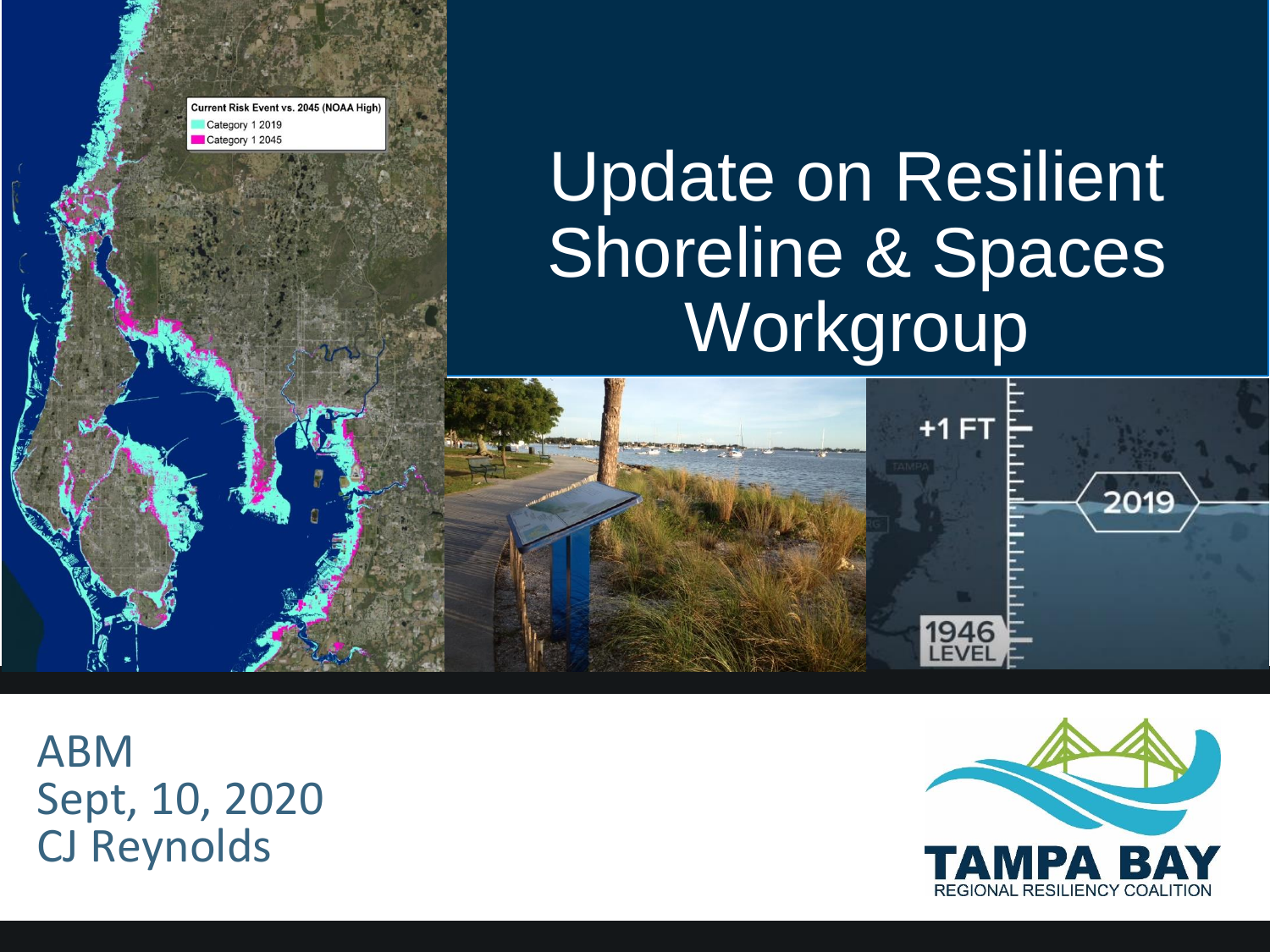Current Risk Event vs. 2045 (NOAA High Category 1 2019 Category 1 2045

# Update on Resilient Shoreline & Spaces **Workgroup**

 $+1$  FT

**1946**<br>LEVEL

US 41 TROPICAL STORM HERMINE 2016

Photo credit Mark Young Bradenton Herald

ABM Sept, 10, 2020 CJ Reynolds



2019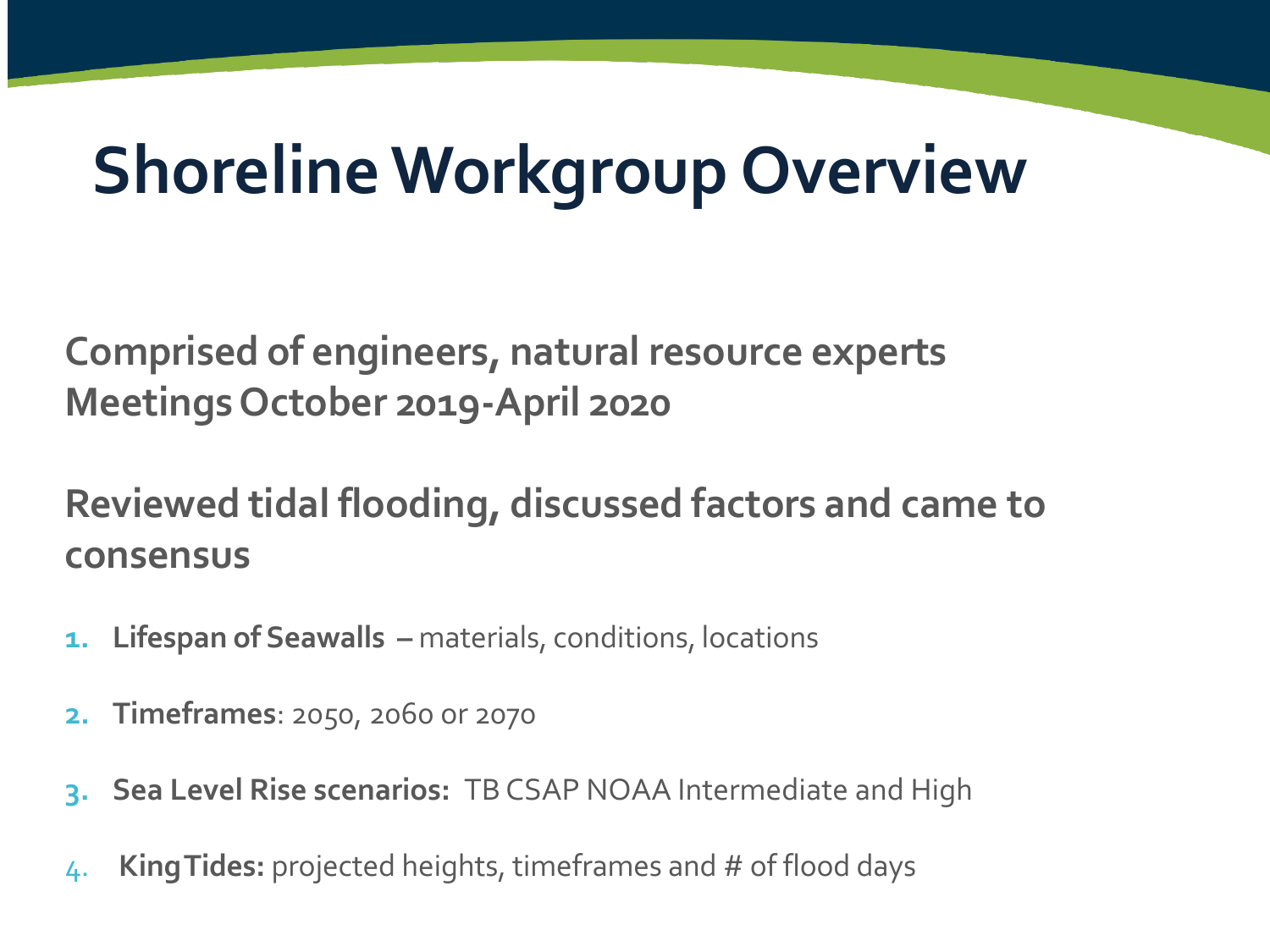# **Shoreline Workgroup Overview**

**Comprised of engineers, natural resource experts Meetings October 2019-April 2020**

**Reviewed tidal flooding, discussed factors and came to consensus** 

- **1. Lifespan of Seawalls –** materials, conditions, locations
- **2. Timeframes**: 2050, 2060 or 2070
- **3. Sea Level Rise scenarios:** TB CSAP NOAA Intermediate and High
- 4. **KingTides:** projected heights, timeframes and # of flood days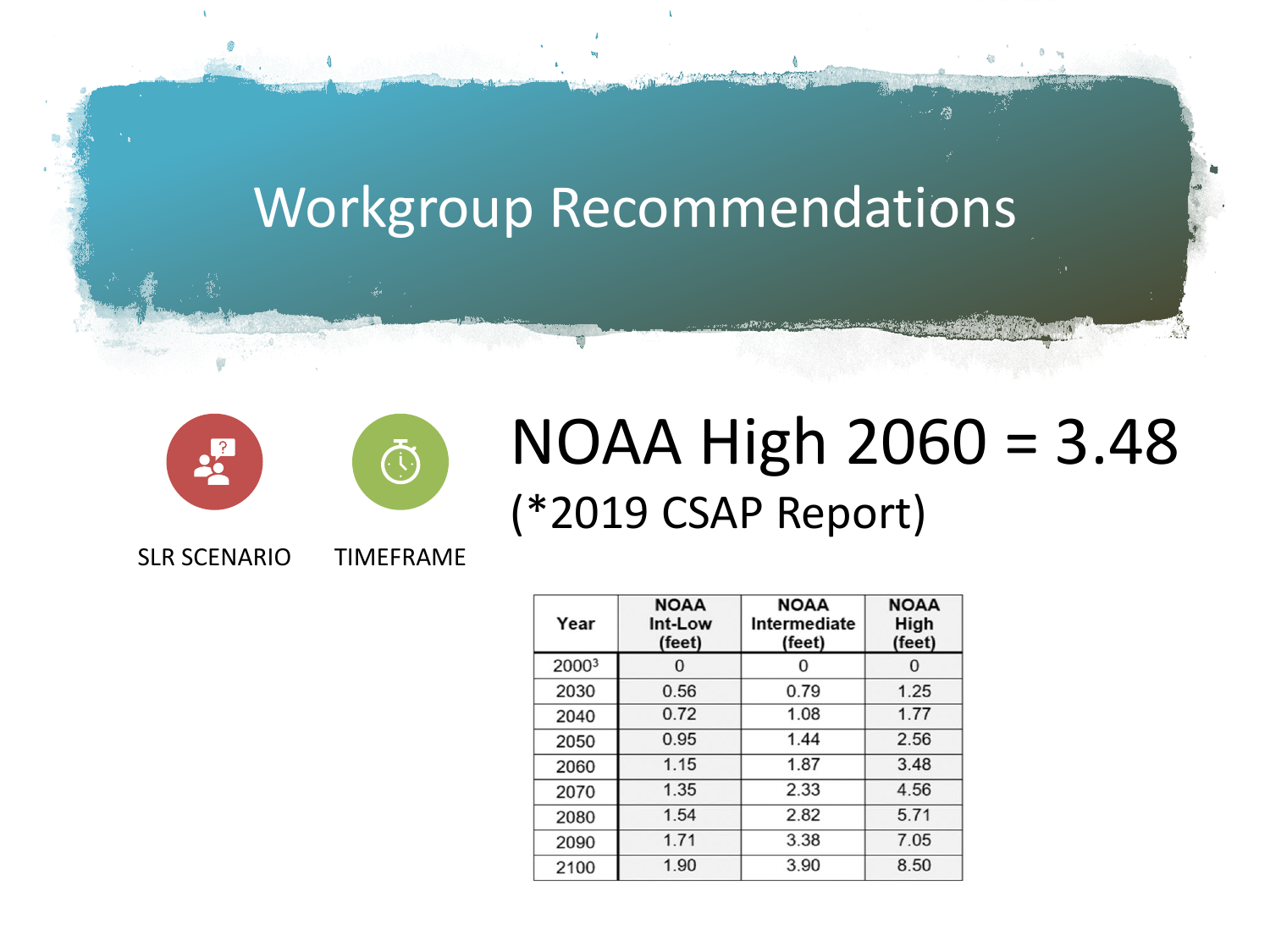



#### NOAA High 2060 = 3.48 (\*2019 CSAP Report)

**NOAA NOAA NOAA** Int-Low Intermediate High Year (feet) (feet)  $(feet)$ 20003  $\mathbf 0$  $\mathbf{0}$  $\mathbf{0}$ 0.79 2030 0.56 1.25  $0.72$  $1.08$  $1.77$ 2040  $1.44$ 0.95 2.56 2050  $1.15$  $1.87$ 3.48 2060 2.33 1.35 4.56 2070  $1.54$ 2.82  $5.71$ 2080  $1.71$  $3.38$  $7.05$ 2090  $3.90$ 2100 1.90 8.50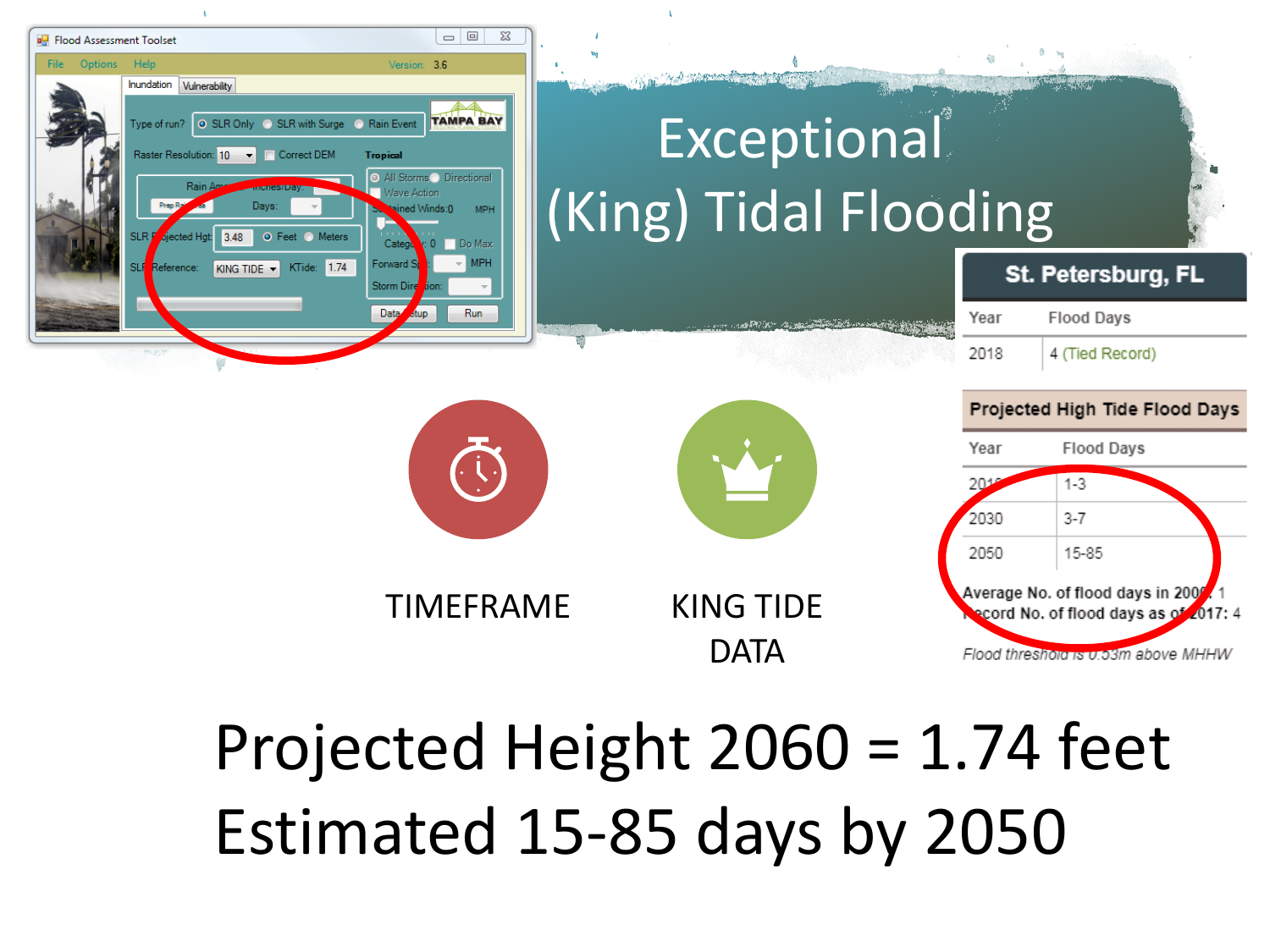

## Projected Height 2060 = 1.74 feet Estimated 15-85 days by 2050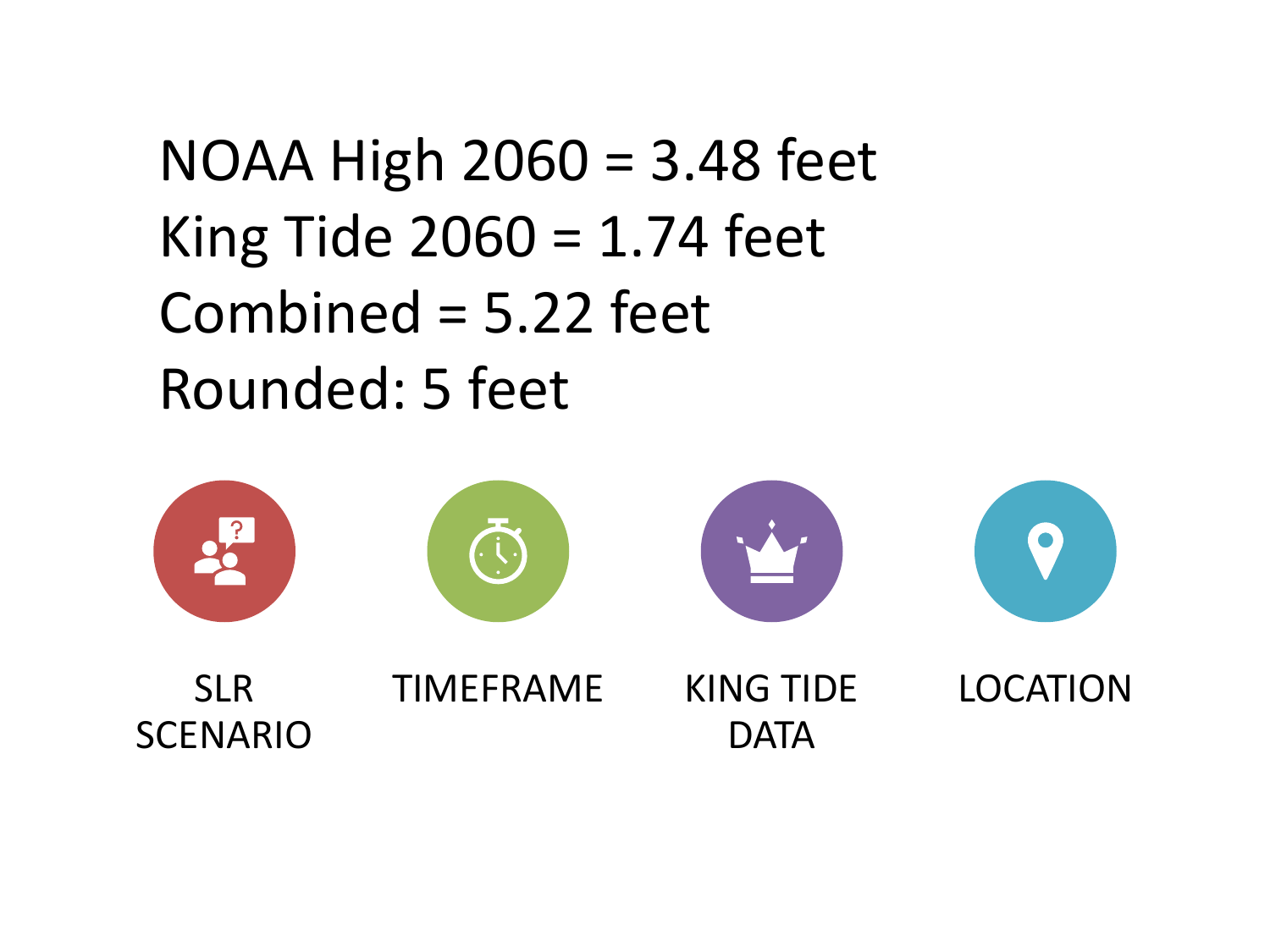### NOAA High 2060 = 3.48 feet King Tide  $2060 = 1.74$  feet Combined = 5.22 feet Rounded: 5 feet

![](_page_4_Picture_1.jpeg)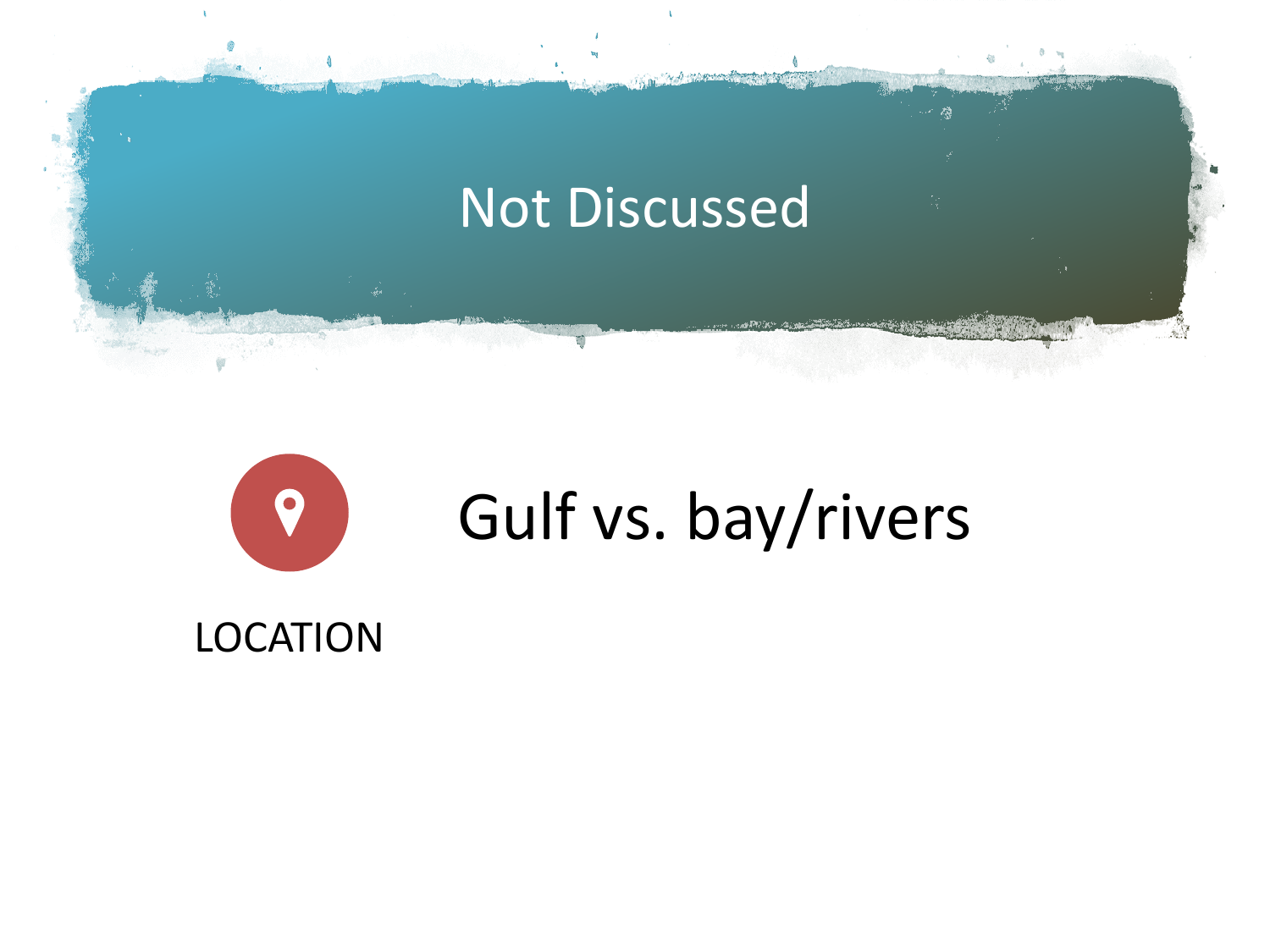![](_page_5_Picture_0.jpeg)

![](_page_5_Picture_1.jpeg)

LOCATION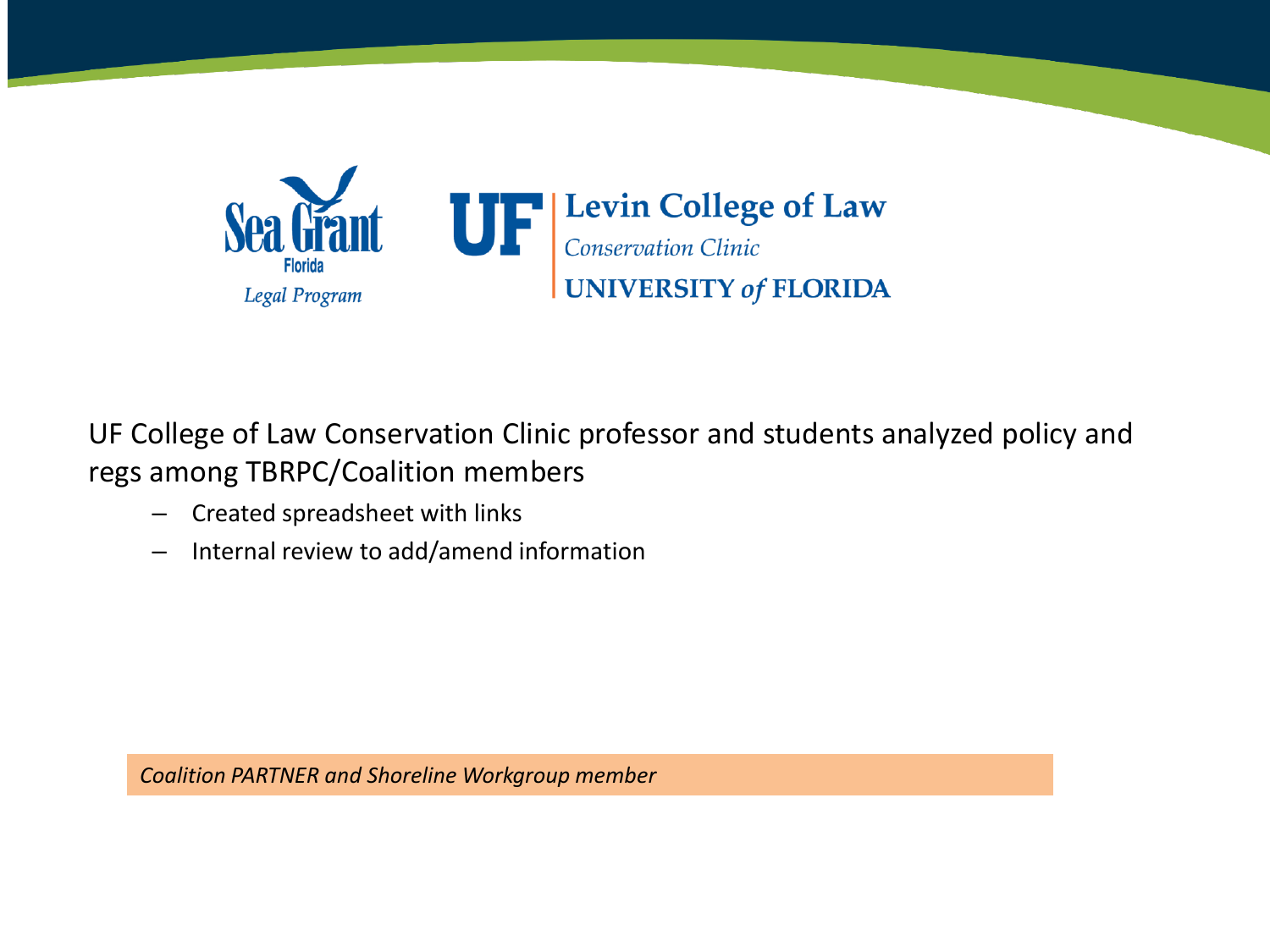![](_page_6_Picture_0.jpeg)

E College of Law Cor regs among TBRPC/Coalition members<br>- Created spreadsheet with links UF College of Law Conservation Clinic professor and students analyzed policy and

– Created spreadsheet with links

working the contract of the contract of the contract of the contract of the contract of the contract of the contract of the contract of the contract of the contract of the contract of the contract of the contract of the co

s – Internal review to add/amend information

Section BARTNER *Coalition PARTNER and Shoreline Workgroup member*